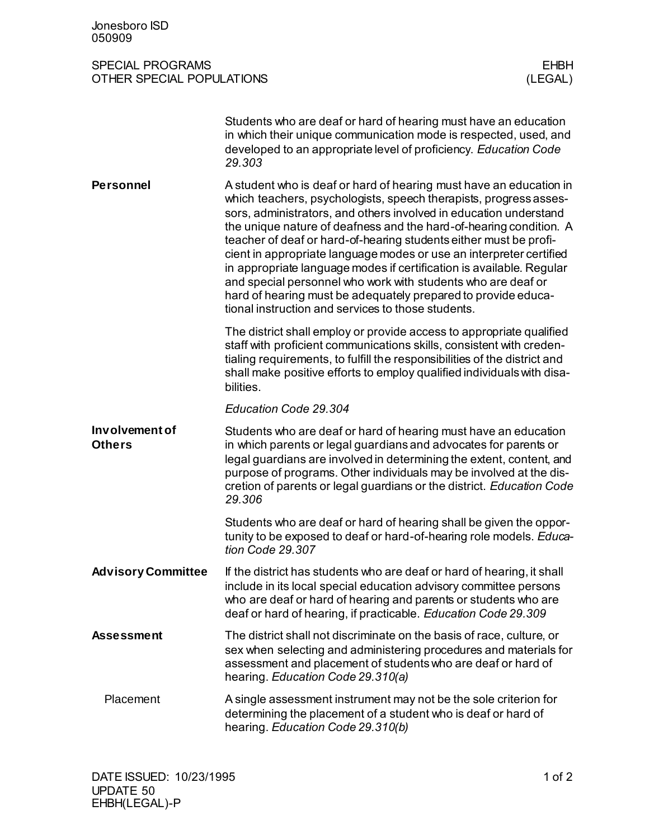| Jonesboro ISD<br>050909                                                               |                                                                                                                                                                                                                                                                                                                                                                                                                                                                                                                                                                                                                                                                                               |
|---------------------------------------------------------------------------------------|-----------------------------------------------------------------------------------------------------------------------------------------------------------------------------------------------------------------------------------------------------------------------------------------------------------------------------------------------------------------------------------------------------------------------------------------------------------------------------------------------------------------------------------------------------------------------------------------------------------------------------------------------------------------------------------------------|
| <b>SPECIAL PROGRAMS</b><br><b>EHBH</b><br><b>OTHER SPECIAL POPULATIONS</b><br>(LEGAL) |                                                                                                                                                                                                                                                                                                                                                                                                                                                                                                                                                                                                                                                                                               |
|                                                                                       | Students who are deaf or hard of hearing must have an education<br>in which their unique communication mode is respected, used, and<br>developed to an appropriate level of proficiency. Education Code<br>29.303                                                                                                                                                                                                                                                                                                                                                                                                                                                                             |
| <b>Personnel</b>                                                                      | A student who is deaf or hard of hearing must have an education in<br>which teachers, psychologists, speech therapists, progress asses-<br>sors, administrators, and others involved in education understand<br>the unique nature of deafness and the hard-of-hearing condition. A<br>teacher of deaf or hard-of-hearing students either must be profi-<br>cient in appropriate language modes or use an interpreter certified<br>in appropriate language modes if certification is available. Regular<br>and special personnel who work with students who are deaf or<br>hard of hearing must be adequately prepared to provide educa-<br>tional instruction and services to those students. |
|                                                                                       | The district shall employ or provide access to appropriate qualified<br>staff with proficient communications skills, consistent with creden-<br>tialing requirements, to fulfill the responsibilities of the district and<br>shall make positive efforts to employ qualified individuals with disa-<br>bilities.                                                                                                                                                                                                                                                                                                                                                                              |
|                                                                                       | Education Code 29.304                                                                                                                                                                                                                                                                                                                                                                                                                                                                                                                                                                                                                                                                         |
| Involvement of<br><b>Others</b>                                                       | Students who are deaf or hard of hearing must have an education<br>in which parents or legal guardians and advocates for parents or<br>legal guardians are involved in determining the extent, content, and<br>purpose of programs. Other individuals may be involved at the dis-<br>cretion of parents or legal guardians or the district. Education Code<br>29.306                                                                                                                                                                                                                                                                                                                          |
|                                                                                       | Students who are deaf or hard of hearing shall be given the oppor-<br>tunity to be exposed to deaf or hard-of-hearing role models. Educa-<br>tion Code 29.307                                                                                                                                                                                                                                                                                                                                                                                                                                                                                                                                 |
| <b>Advisory Committee</b>                                                             | If the district has students who are deaf or hard of hearing, it shall<br>include in its local special education advisory committee persons<br>who are deaf or hard of hearing and parents or students who are<br>deaf or hard of hearing, if practicable. Education Code 29.309                                                                                                                                                                                                                                                                                                                                                                                                              |
| <b>Assessment</b>                                                                     | The district shall not discriminate on the basis of race, culture, or<br>sex when selecting and administering procedures and materials for<br>assessment and placement of students who are deaf or hard of<br>hearing. Education Code 29.310(a)                                                                                                                                                                                                                                                                                                                                                                                                                                               |
| Placement                                                                             | A single assessment instrument may not be the sole criterion for<br>determining the placement of a student who is deaf or hard of<br>hearing. Education Code 29.310(b)                                                                                                                                                                                                                                                                                                                                                                                                                                                                                                                        |